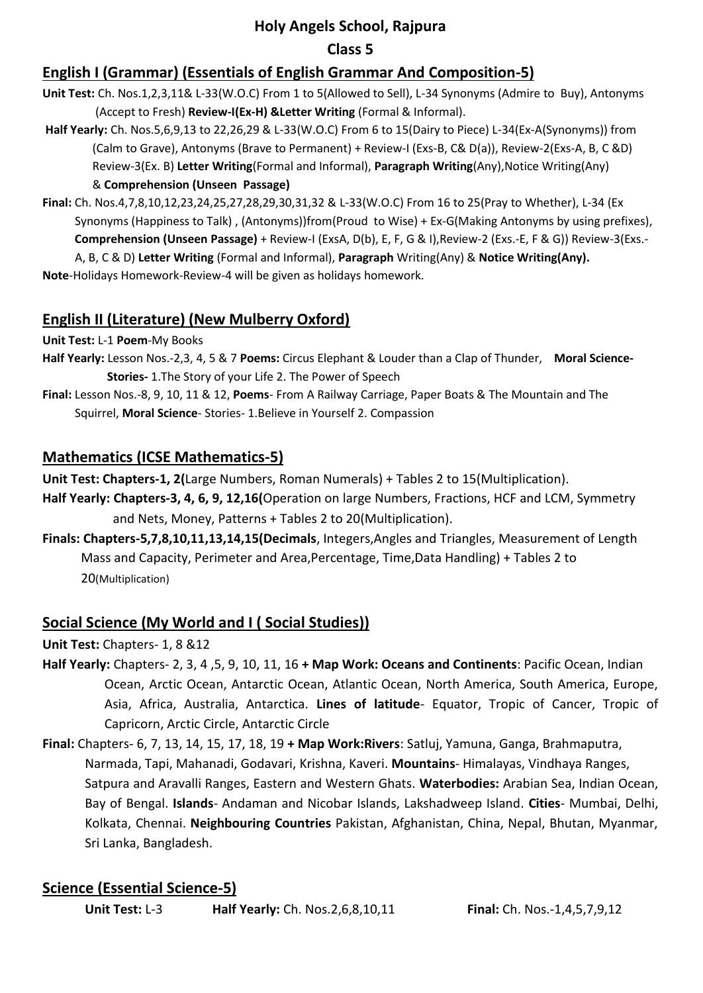# **Holy Angels School, Rajpura**

### **Class 5**

## **English I (Grammar) (Essentials of English Grammar And Composition-5)**

**Unit Test:** Ch. Nos.1,2,3,11& L-33(W.O.C) From 1 to 5(Allowed to Sell), L-34 Synonyms (Admire to Buy), Antonyms (Accept to Fresh) **Review-I(Ex-H) &Letter Writing** (Formal & Informal).

**Half Yearly:** Ch. Nos.5,6,9,13 to 22,26,29 & L-33(W.O.C) From 6 to 15(Dairy to Piece) L-34(Ex-A(Synonyms)) from (Calm to Grave), Antonyms (Brave to Permanent) + Review-I (Exs-B, C& D(a)), Review-2(Exs-A, B, C &D) Review-3(Ex. B) **Letter Writing**(Formal and Informal), **Paragraph Writing**(Any),Notice Writing(Any) & **Comprehension (Unseen Passage)**

**Final:** Ch. Nos.4,7,8,10,12,23,24,25,27,28,29,30,31,32 & L-33(W.O.C) From 16 to 25(Pray to Whether), L-34 (Ex Synonyms (Happiness to Talk) , (Antonyms))from(Proud to Wise) + Ex-G(Making Antonyms by using prefixes),  **Comprehension (Unseen Passage)** + Review-I (ExsA, D(b), E, F, G & I),Review-2 (Exs.-E, F & G)) Review-3(Exs.-

 A, B, C & D) **Letter Writing** (Formal and Informal), **Paragraph** Writing(Any) & **Notice Writing(Any). Note**-Holidays Homework-Review-4 will be given as holidays homework.

## **English II (Literature) (New Mulberry Oxford)**

**Unit Test:** L-1 **Poem**-My Books

**Half Yearly:** Lesson Nos.-2,3, 4, 5 & 7 **Poems:** Circus Elephant & Louder than a Clap of Thunder, **Moral Science- Stories-** 1.The Story of your Life 2. The Power of Speech

**Final:** Lesson Nos.-8, 9, 10, 11 & 12, **Poems**- From A Railway Carriage, Paper Boats & The Mountain and The Squirrel, **Moral Science**- Stories- 1.Believe in Yourself 2. Compassion

## **Mathematics (ICSE Mathematics-5)**

**Unit Test: Chapters-1, 2(**Large Numbers, Roman Numerals) + Tables 2 to 15(Multiplication).

- **Half Yearly: Chapters-3, 4, 6, 9, 12,16(**Operation on large Numbers, Fractions, HCF and LCM, Symmetry and Nets, Money, Patterns + Tables 2 to 20(Multiplication).
- **Finals: Chapters-5,7,8,10,11,13,14,15(Decimals**, Integers,Angles and Triangles, Measurement of Length Mass and Capacity, Perimeter and Area,Percentage, Time,Data Handling) + Tables 2 to 20(Multiplication)

## **Social Science (My World and I ( Social Studies))**

### **Unit Test:** Chapters- 1, 8 &12

- **Half Yearly:** Chapters- 2, 3, 4 ,5, 9, 10, 11, 16 **+ Map Work: Oceans and Continents**: Pacific Ocean, Indian Ocean, Arctic Ocean, Antarctic Ocean, Atlantic Ocean, North America, South America, Europe, Asia, Africa, Australia, Antarctica. **Lines of latitude**- Equator, Tropic of Cancer, Tropic of Capricorn, Arctic Circle, Antarctic Circle
- **Final:** Chapters- 6, 7, 13, 14, 15, 17, 18, 19 **+ Map Work:Rivers**: Satluj, Yamuna, Ganga, Brahmaputra, Narmada, Tapi, Mahanadi, Godavari, Krishna, Kaveri. **Mountains**- Himalayas, Vindhaya Ranges, Satpura and Aravalli Ranges, Eastern and Western Ghats. **Waterbodies:** Arabian Sea, Indian Ocean, Bay of Bengal. **Islands**- Andaman and Nicobar Islands, Lakshadweep Island. **Cities**- Mumbai, Delhi, Kolkata, Chennai. **Neighbouring Countries** Pakistan, Afghanistan, China, Nepal, Bhutan, Myanmar, Sri Lanka, Bangladesh.

## **Science (Essential Science-5)**

**Unit Test:** L-3 **Half Yearly:** Ch. Nos.2,6,8,10,11 **Final:** Ch. Nos.-1,4,5,7,9,12